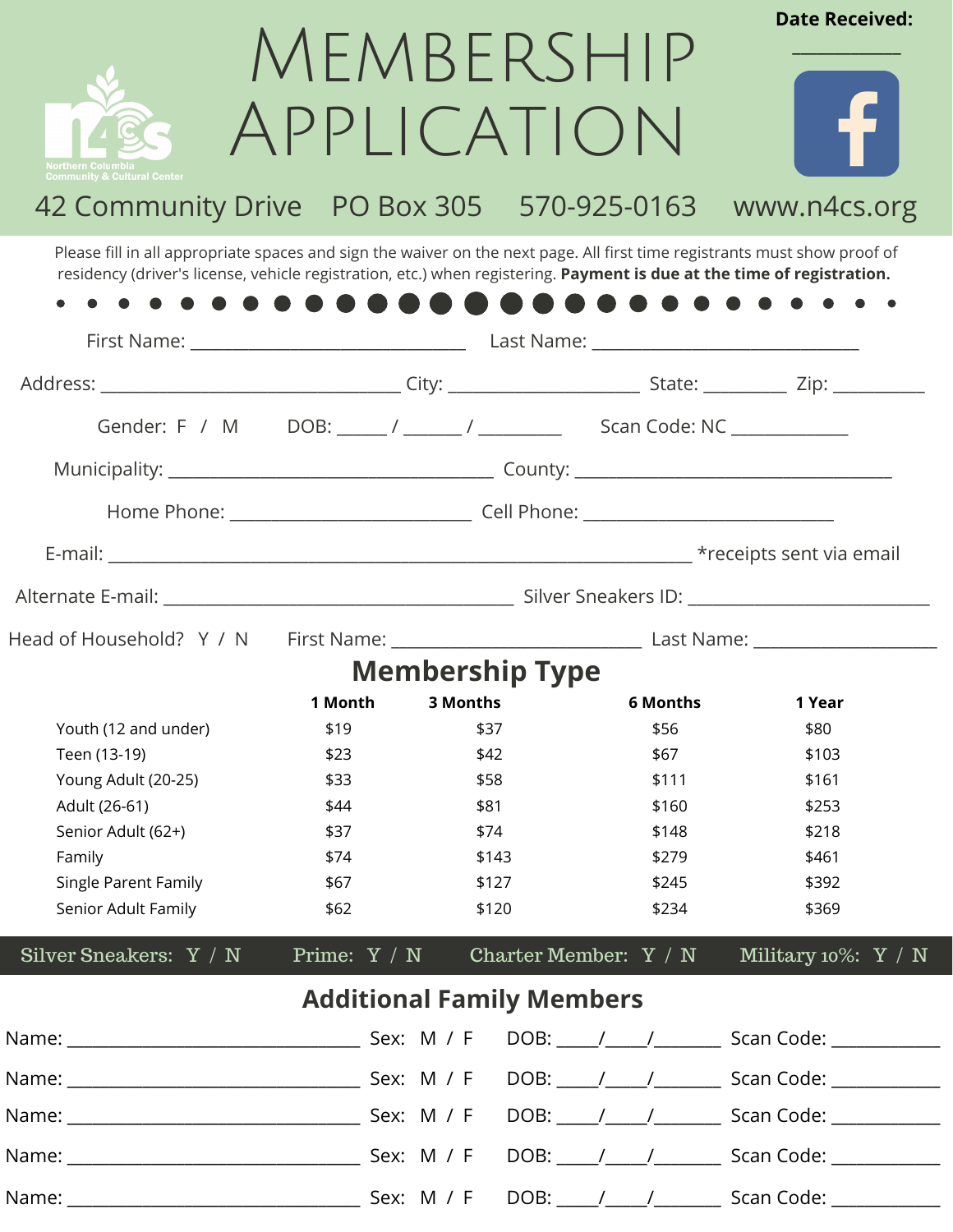

# MEMBERSHIP Application



**Date Received:**

# 42 Community Drive PO Box 305 570-925-0163 www.n4cs.org

Please fill in all appropriate spaces and sign the waiver on the next page. All first time registrants must show proof of residency (driver's license, vehicle registration, etc.) when registering. **Payment is due at the time of registration.**

| Gender: F / M DOB: ____ / _____ / _______ Scan Code: NC ___________ |                                  |          |                        |                       |                         |  |  |
|---------------------------------------------------------------------|----------------------------------|----------|------------------------|-----------------------|-------------------------|--|--|
|                                                                     |                                  |          |                        |                       |                         |  |  |
|                                                                     |                                  |          |                        |                       |                         |  |  |
|                                                                     |                                  |          |                        |                       |                         |  |  |
|                                                                     |                                  |          |                        |                       |                         |  |  |
|                                                                     |                                  |          |                        |                       |                         |  |  |
|                                                                     |                                  |          | <b>Membership Type</b> |                       |                         |  |  |
|                                                                     | 1 Month                          | 3 Months |                        | <b>6 Months</b>       | 1 Year                  |  |  |
| Youth (12 and under)                                                | \$19                             | \$37     |                        | \$56                  | \$80                    |  |  |
| Teen (13-19)                                                        | \$23                             | \$42     |                        | \$67                  | \$103                   |  |  |
| Young Adult (20-25)                                                 | \$33                             | \$58     |                        | \$111                 | \$161                   |  |  |
| Adult (26-61)                                                       | \$44                             | \$81     |                        | \$160                 | \$253                   |  |  |
| Senior Adult (62+)                                                  | \$37                             | \$74     |                        | \$148                 | \$218                   |  |  |
| Family                                                              | \$74                             | \$143    |                        | \$279                 | \$461                   |  |  |
| Single Parent Family                                                | \$67                             | \$127    |                        | \$245                 | \$392                   |  |  |
| Senior Adult Family                                                 | \$62                             |          | \$120                  | \$234                 | \$369                   |  |  |
| Silver Sneakers: Y / N                                              | Prime: $Y / N$                   |          |                        | Charter Member: Y / N | Military 10%: $Y / N$   |  |  |
|                                                                     | <b>Additional Family Members</b> |          |                        |                       |                         |  |  |
|                                                                     |                                  |          |                        |                       | DOB: / / / Scan Code: / |  |  |
|                                                                     |                                  |          |                        |                       |                         |  |  |
|                                                                     |                                  |          |                        |                       |                         |  |  |
|                                                                     |                                  |          |                        |                       |                         |  |  |
|                                                                     |                                  |          |                        |                       |                         |  |  |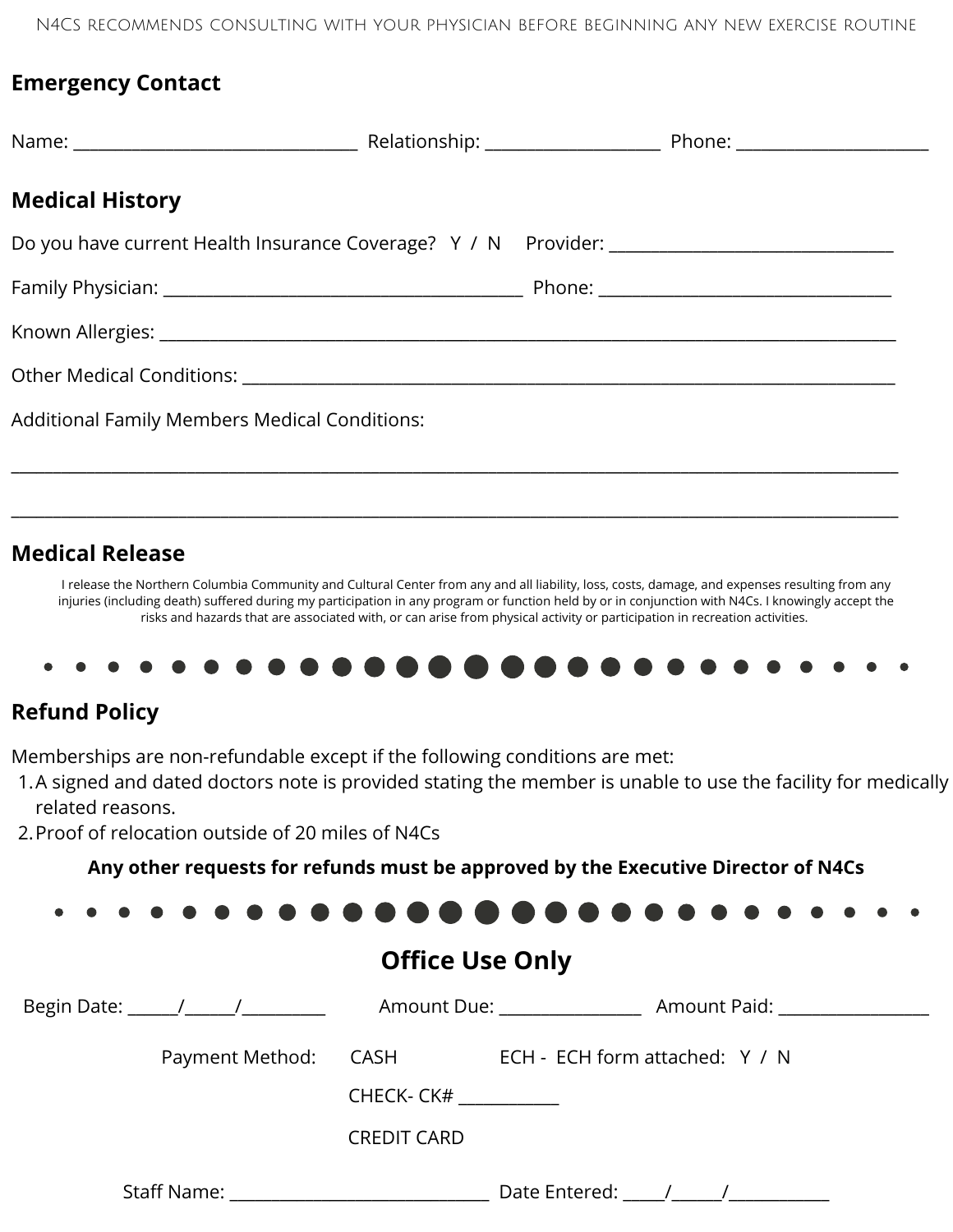N4Cs recommends consulting with your physician before beginning any new exercise routine

#### **Emergency Contact**

| <b>Medical History</b>                        |  |  |
|-----------------------------------------------|--|--|
|                                               |  |  |
|                                               |  |  |
|                                               |  |  |
|                                               |  |  |
| Additional Family Members Medical Conditions: |  |  |

### **Medical Release**

I release the Northern Columbia Community and Cultural Center from any and all liability, loss, costs, damage, and expenses resulting from any injuries (including death) suffered during my participation in any program or function held by or in conjunction with N4Cs. I knowingly accept the risks and hazards that are associated with, or can arise from physical activity or participation in recreation activities.

\_\_\_\_\_\_\_\_\_\_\_\_\_\_\_\_\_\_\_\_\_\_\_\_\_\_\_\_\_\_\_\_\_\_\_\_\_\_\_\_\_\_\_\_\_\_\_\_\_\_\_\_\_\_\_\_\_\_\_\_\_\_\_\_\_\_\_\_\_\_\_\_\_\_\_\_\_\_\_\_\_\_\_\_\_\_\_\_\_\_\_\_\_\_\_\_\_\_\_\_\_\_\_\_\_\_



### **Refund Policy**

Memberships are non-refundable except if the following conditions are met:

- A signed and dated doctors note is provided stating the member is unable to use the facility for medically 1. related reasons.
- 2.Proof of relocation outside of 20 miles of N4Cs

**Any other requests for refunds must be approved by the Executive Director of N4Cs**

## **Office Use Only**

| Begin Date: ______/______/_________ |                    |                                | Amount Due: Amount Paid:                                                                                        |
|-------------------------------------|--------------------|--------------------------------|-----------------------------------------------------------------------------------------------------------------|
| Payment Method: CASH                |                    | ECH - ECH form attached: Y / N |                                                                                                                 |
|                                     | CHECK-CK#          |                                |                                                                                                                 |
|                                     | <b>CREDIT CARD</b> |                                |                                                                                                                 |
|                                     |                    |                                | Date Entered: The Mate of the Mate of the Mate of The Mate of The Mate of The Mate of The Mate of The Mate of T |